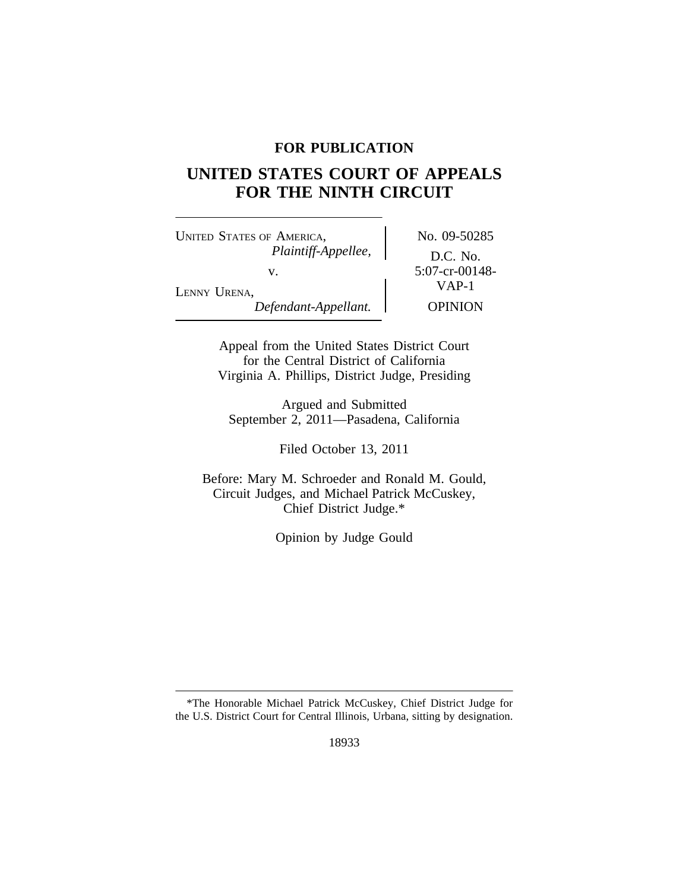# **FOR PUBLICATION**

# **UNITED STATES COURT OF APPEALS FOR THE NINTH CIRCUIT**

UNITED STATES OF AMERICA, No. 09-50285 *Plaintiff-Appellee,* D.C. No. v. 5:07-cr-00148-<br>VAP-1 LENNY URENA, *Defendant-Appellant.* OPINION

Appeal from the United States District Court for the Central District of California Virginia A. Phillips, District Judge, Presiding

Argued and Submitted September 2, 2011—Pasadena, California

Filed October 13, 2011

Before: Mary M. Schroeder and Ronald M. Gould, Circuit Judges, and Michael Patrick McCuskey, Chief District Judge.\*

Opinion by Judge Gould

<sup>\*</sup>The Honorable Michael Patrick McCuskey, Chief District Judge for the U.S. District Court for Central Illinois, Urbana, sitting by designation.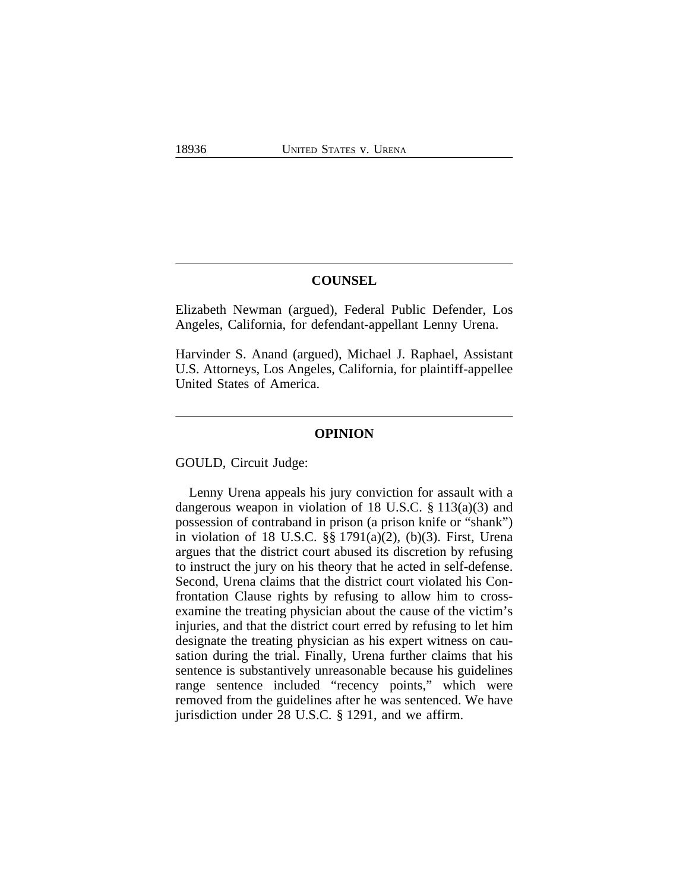## **COUNSEL**

Elizabeth Newman (argued), Federal Public Defender, Los Angeles, California, for defendant-appellant Lenny Urena.

Harvinder S. Anand (argued), Michael J. Raphael, Assistant U.S. Attorneys, Los Angeles, California, for plaintiff-appellee United States of America.

#### **OPINION**

GOULD, Circuit Judge:

Lenny Urena appeals his jury conviction for assault with a dangerous weapon in violation of 18 U.S.C. § 113(a)(3) and possession of contraband in prison (a prison knife or "shank") in violation of 18 U.S.C. §§ 1791(a)(2), (b)(3). First, Urena argues that the district court abused its discretion by refusing to instruct the jury on his theory that he acted in self-defense. Second, Urena claims that the district court violated his Confrontation Clause rights by refusing to allow him to crossexamine the treating physician about the cause of the victim's injuries, and that the district court erred by refusing to let him designate the treating physician as his expert witness on causation during the trial. Finally, Urena further claims that his sentence is substantively unreasonable because his guidelines range sentence included "recency points," which were removed from the guidelines after he was sentenced. We have jurisdiction under 28 U.S.C. § 1291, and we affirm.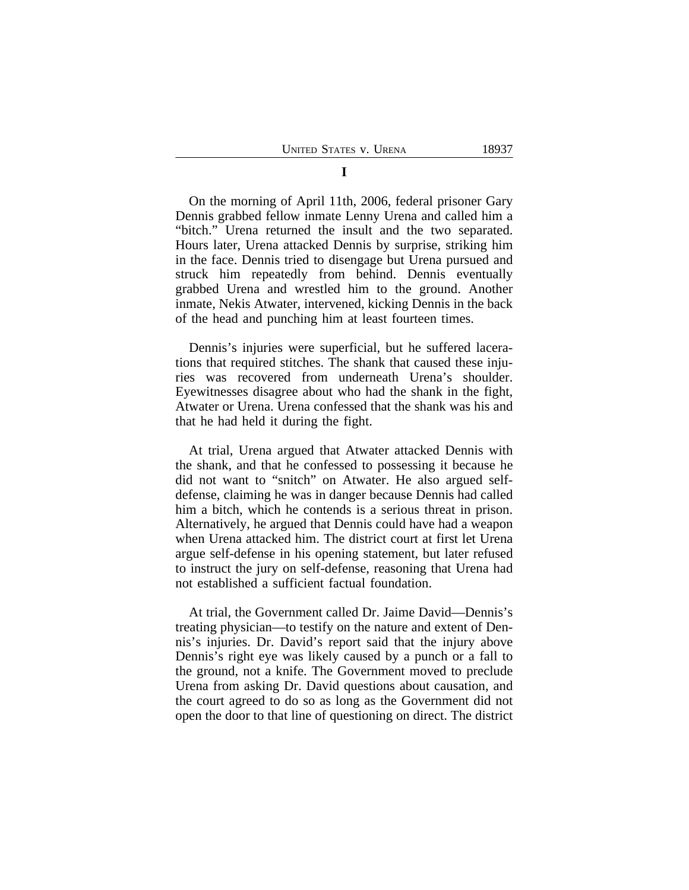On the morning of April 11th, 2006, federal prisoner Gary Dennis grabbed fellow inmate Lenny Urena and called him a "bitch." Urena returned the insult and the two separated. Hours later, Urena attacked Dennis by surprise, striking him in the face. Dennis tried to disengage but Urena pursued and struck him repeatedly from behind. Dennis eventually grabbed Urena and wrestled him to the ground. Another inmate, Nekis Atwater, intervened, kicking Dennis in the back of the head and punching him at least fourteen times.

Dennis's injuries were superficial, but he suffered lacerations that required stitches. The shank that caused these injuries was recovered from underneath Urena's shoulder. Eyewitnesses disagree about who had the shank in the fight, Atwater or Urena. Urena confessed that the shank was his and that he had held it during the fight.

At trial, Urena argued that Atwater attacked Dennis with the shank, and that he confessed to possessing it because he did not want to "snitch" on Atwater. He also argued selfdefense, claiming he was in danger because Dennis had called him a bitch, which he contends is a serious threat in prison. Alternatively, he argued that Dennis could have had a weapon when Urena attacked him. The district court at first let Urena argue self-defense in his opening statement, but later refused to instruct the jury on self-defense, reasoning that Urena had not established a sufficient factual foundation.

At trial, the Government called Dr. Jaime David—Dennis's treating physician—to testify on the nature and extent of Dennis's injuries. Dr. David's report said that the injury above Dennis's right eye was likely caused by a punch or a fall to the ground, not a knife. The Government moved to preclude Urena from asking Dr. David questions about causation, and the court agreed to do so as long as the Government did not open the door to that line of questioning on direct. The district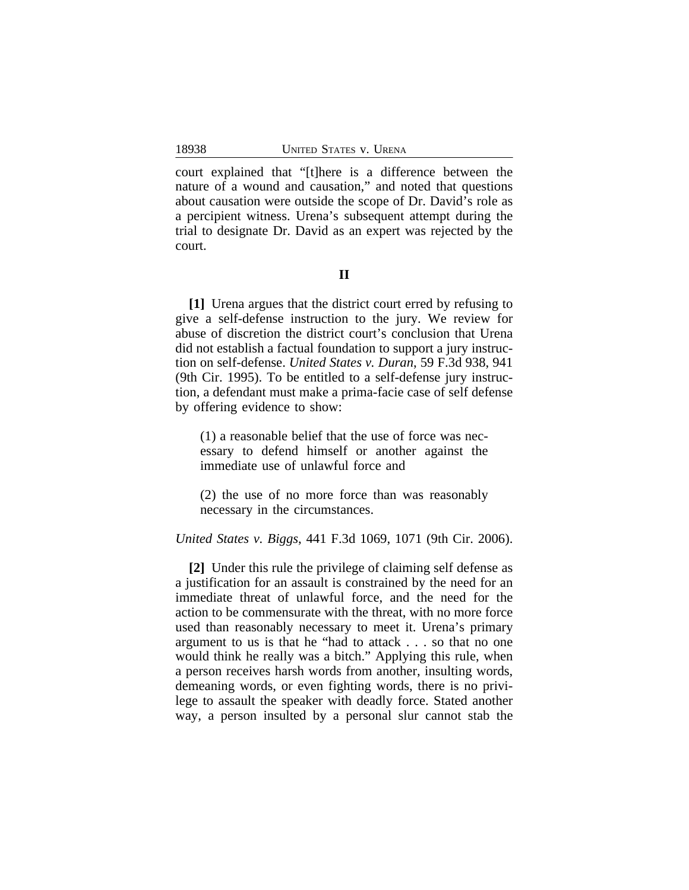court explained that "[t]here is a difference between the nature of a wound and causation," and noted that questions about causation were outside the scope of Dr. David's role as a percipient witness. Urena's subsequent attempt during the trial to designate Dr. David as an expert was rejected by the court.

**II**

**[1]** Urena argues that the district court erred by refusing to give a self-defense instruction to the jury. We review for abuse of discretion the district court's conclusion that Urena did not establish a factual foundation to support a jury instruction on self-defense. *United States v. Duran*, 59 F.3d 938, 941 (9th Cir. 1995). To be entitled to a self-defense jury instruction, a defendant must make a prima-facie case of self defense by offering evidence to show:

(1) a reasonable belief that the use of force was necessary to defend himself or another against the immediate use of unlawful force and

(2) the use of no more force than was reasonably necessary in the circumstances.

*United States v. Biggs*, 441 F.3d 1069, 1071 (9th Cir. 2006).

**[2]** Under this rule the privilege of claiming self defense as a justification for an assault is constrained by the need for an immediate threat of unlawful force, and the need for the action to be commensurate with the threat, with no more force used than reasonably necessary to meet it. Urena's primary argument to us is that he "had to attack . . . so that no one would think he really was a bitch." Applying this rule, when a person receives harsh words from another, insulting words, demeaning words, or even fighting words, there is no privilege to assault the speaker with deadly force. Stated another way, a person insulted by a personal slur cannot stab the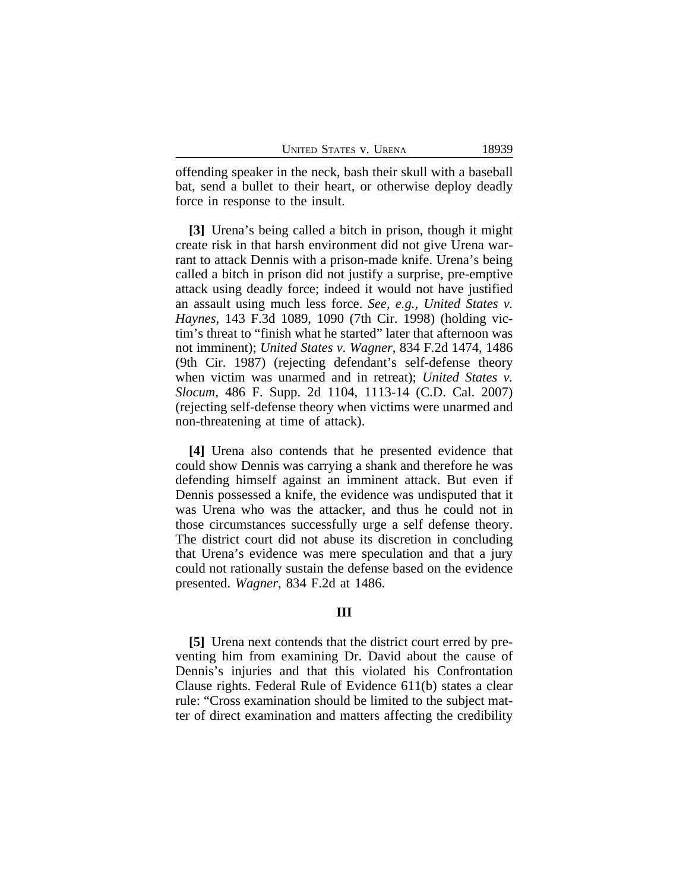offending speaker in the neck, bash their skull with a baseball bat, send a bullet to their heart, or otherwise deploy deadly force in response to the insult.

**[3]** Urena's being called a bitch in prison, though it might create risk in that harsh environment did not give Urena warrant to attack Dennis with a prison-made knife. Urena's being called a bitch in prison did not justify a surprise, pre-emptive attack using deadly force; indeed it would not have justified an assault using much less force. *See, e.g., United States v. Haynes*, 143 F.3d 1089, 1090 (7th Cir. 1998) (holding victim's threat to "finish what he started" later that afternoon was not imminent); *United States v. Wagner*, 834 F.2d 1474, 1486 (9th Cir. 1987) (rejecting defendant's self-defense theory when victim was unarmed and in retreat); *United States v. Slocum*, 486 F. Supp. 2d 1104, 1113-14 (C.D. Cal. 2007) (rejecting self-defense theory when victims were unarmed and non-threatening at time of attack).

**[4]** Urena also contends that he presented evidence that could show Dennis was carrying a shank and therefore he was defending himself against an imminent attack. But even if Dennis possessed a knife, the evidence was undisputed that it was Urena who was the attacker, and thus he could not in those circumstances successfully urge a self defense theory. The district court did not abuse its discretion in concluding that Urena's evidence was mere speculation and that a jury could not rationally sustain the defense based on the evidence presented. *Wagner*, 834 F.2d at 1486.

## **III**

**[5]** Urena next contends that the district court erred by preventing him from examining Dr. David about the cause of Dennis's injuries and that this violated his Confrontation Clause rights. Federal Rule of Evidence 611(b) states a clear rule: "Cross examination should be limited to the subject matter of direct examination and matters affecting the credibility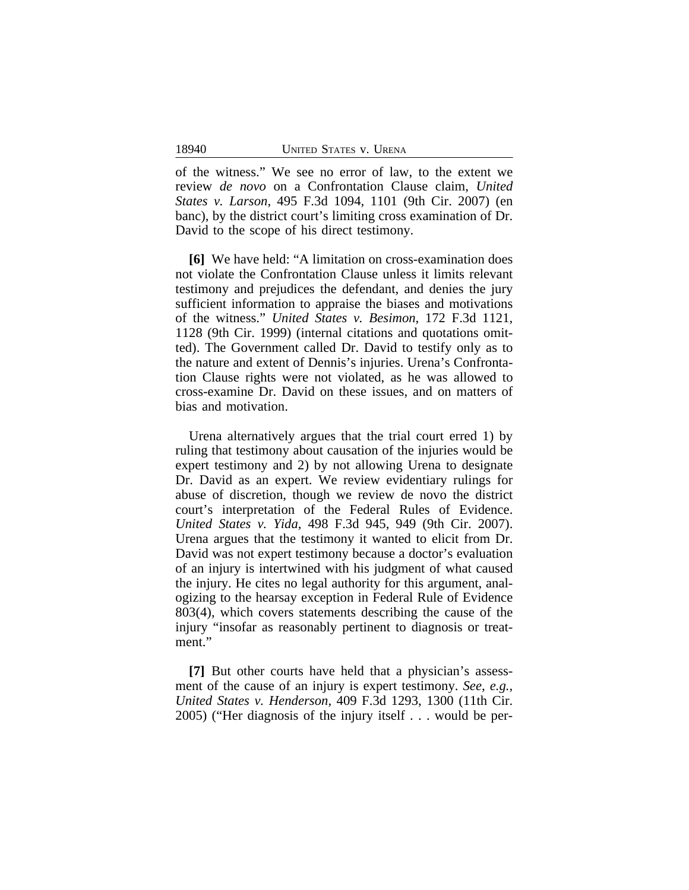of the witness." We see no error of law, to the extent we review *de novo* on a Confrontation Clause claim, *United States v. Larson*, 495 F.3d 1094, 1101 (9th Cir. 2007) (en banc), by the district court's limiting cross examination of Dr. David to the scope of his direct testimony.

**[6]** We have held: "A limitation on cross-examination does not violate the Confrontation Clause unless it limits relevant testimony and prejudices the defendant, and denies the jury sufficient information to appraise the biases and motivations of the witness." *United States v. Besimon*, 172 F.3d 1121, 1128 (9th Cir. 1999) (internal citations and quotations omitted). The Government called Dr. David to testify only as to the nature and extent of Dennis's injuries. Urena's Confrontation Clause rights were not violated, as he was allowed to cross-examine Dr. David on these issues, and on matters of bias and motivation.

Urena alternatively argues that the trial court erred 1) by ruling that testimony about causation of the injuries would be expert testimony and 2) by not allowing Urena to designate Dr. David as an expert. We review evidentiary rulings for abuse of discretion, though we review de novo the district court's interpretation of the Federal Rules of Evidence. *United States v. Yida*, 498 F.3d 945, 949 (9th Cir. 2007). Urena argues that the testimony it wanted to elicit from Dr. David was not expert testimony because a doctor's evaluation of an injury is intertwined with his judgment of what caused the injury. He cites no legal authority for this argument, analogizing to the hearsay exception in Federal Rule of Evidence 803(4), which covers statements describing the cause of the injury "insofar as reasonably pertinent to diagnosis or treatment."

**[7]** But other courts have held that a physician's assessment of the cause of an injury is expert testimony. *See, e.g., United States v. Henderson*, 409 F.3d 1293, 1300 (11th Cir. 2005) ("Her diagnosis of the injury itself . . . would be per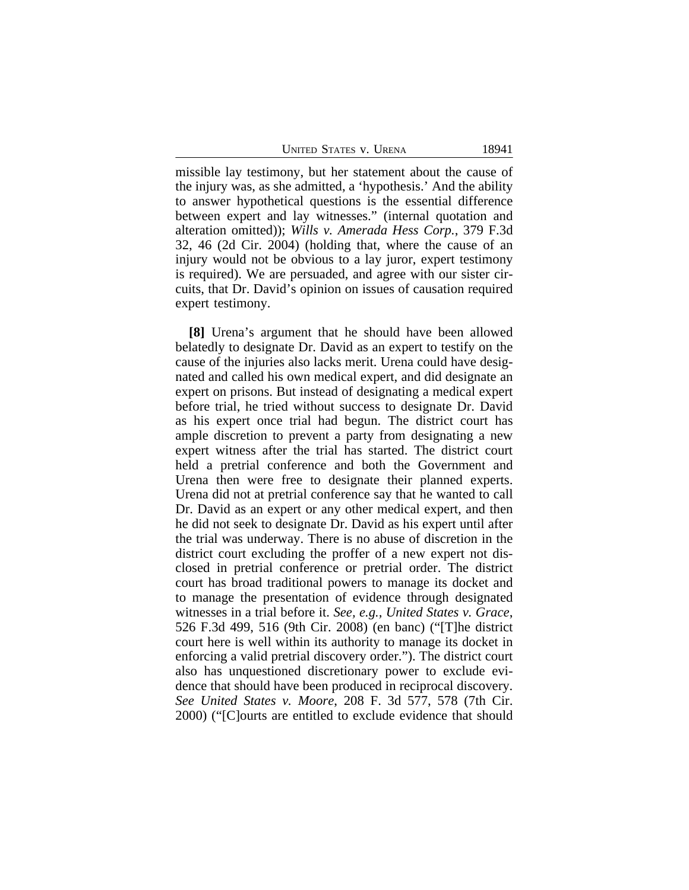UNITED STATES V. URENA 18941

missible lay testimony, but her statement about the cause of the injury was, as she admitted, a 'hypothesis.' And the ability to answer hypothetical questions is the essential difference between expert and lay witnesses." (internal quotation and alteration omitted)); *Wills v. Amerada Hess Corp.*, 379 F.3d 32, 46 (2d Cir. 2004) (holding that, where the cause of an injury would not be obvious to a lay juror, expert testimony is required). We are persuaded, and agree with our sister circuits, that Dr. David's opinion on issues of causation required expert testimony.

**[8]** Urena's argument that he should have been allowed belatedly to designate Dr. David as an expert to testify on the cause of the injuries also lacks merit. Urena could have designated and called his own medical expert, and did designate an expert on prisons. But instead of designating a medical expert before trial, he tried without success to designate Dr. David as his expert once trial had begun. The district court has ample discretion to prevent a party from designating a new expert witness after the trial has started. The district court held a pretrial conference and both the Government and Urena then were free to designate their planned experts. Urena did not at pretrial conference say that he wanted to call Dr. David as an expert or any other medical expert, and then he did not seek to designate Dr. David as his expert until after the trial was underway. There is no abuse of discretion in the district court excluding the proffer of a new expert not disclosed in pretrial conference or pretrial order. The district court has broad traditional powers to manage its docket and to manage the presentation of evidence through designated witnesses in a trial before it. *See, e.g., United States v. Grace*, 526 F.3d 499, 516 (9th Cir. 2008) (en banc) ("[T]he district court here is well within its authority to manage its docket in enforcing a valid pretrial discovery order."). The district court also has unquestioned discretionary power to exclude evidence that should have been produced in reciprocal discovery. *See United States v. Moore*, 208 F. 3d 577, 578 (7th Cir. 2000) ("[C]ourts are entitled to exclude evidence that should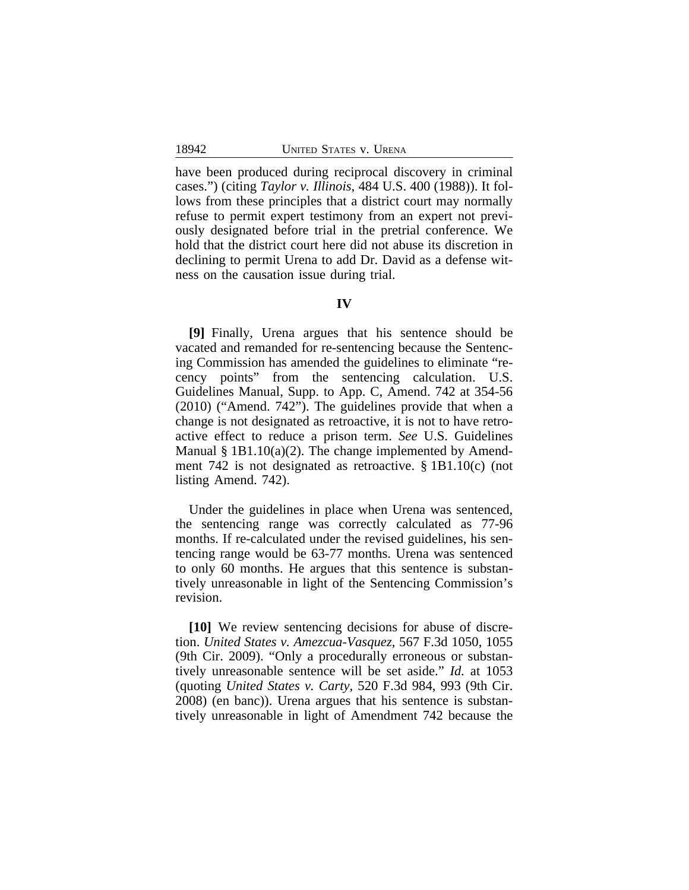have been produced during reciprocal discovery in criminal cases.") (citing *Taylor v. Illinois*, 484 U.S. 400 (1988)). It follows from these principles that a district court may normally refuse to permit expert testimony from an expert not previously designated before trial in the pretrial conference. We hold that the district court here did not abuse its discretion in declining to permit Urena to add Dr. David as a defense witness on the causation issue during trial.

#### **IV**

**[9]** Finally, Urena argues that his sentence should be vacated and remanded for re-sentencing because the Sentencing Commission has amended the guidelines to eliminate "recency points" from the sentencing calculation. U.S. Guidelines Manual, Supp. to App. C, Amend. 742 at 354-56 (2010) ("Amend. 742"). The guidelines provide that when a change is not designated as retroactive, it is not to have retroactive effect to reduce a prison term. *See* U.S. Guidelines Manual  $\S$  1B1.10(a)(2). The change implemented by Amendment 742 is not designated as retroactive. § 1B1.10(c) (not listing Amend. 742).

Under the guidelines in place when Urena was sentenced, the sentencing range was correctly calculated as 77-96 months. If re-calculated under the revised guidelines, his sentencing range would be 63-77 months. Urena was sentenced to only 60 months. He argues that this sentence is substantively unreasonable in light of the Sentencing Commission's revision.

**[10]** We review sentencing decisions for abuse of discretion. *United States v. Amezcua-Vasquez*, 567 F.3d 1050, 1055 (9th Cir. 2009). "Only a procedurally erroneous or substantively unreasonable sentence will be set aside." *Id.* at 1053 (quoting *United States v. Carty*, 520 F.3d 984, 993 (9th Cir. 2008) (en banc)). Urena argues that his sentence is substantively unreasonable in light of Amendment 742 because the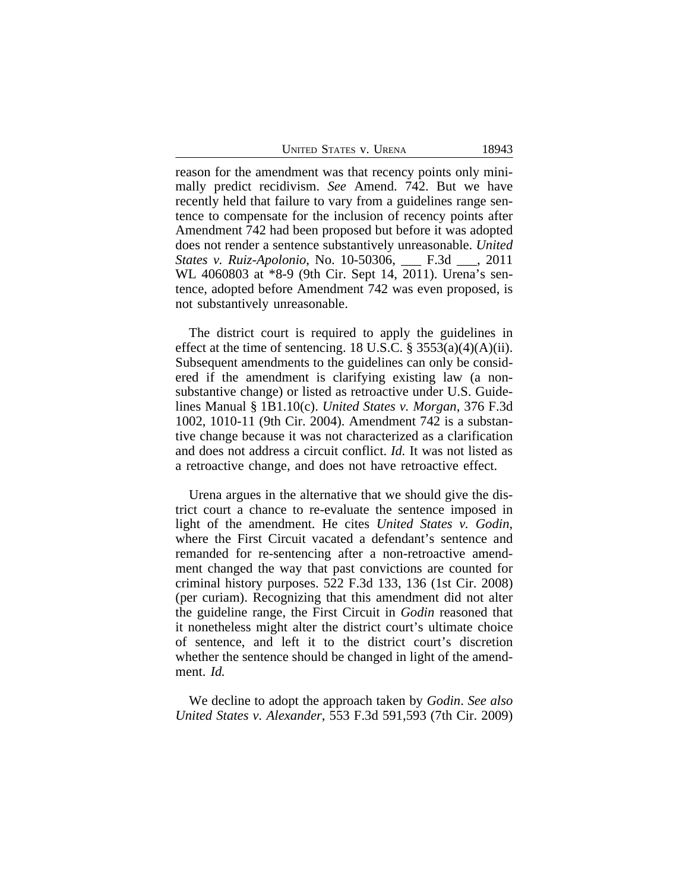UNITED STATES V. URENA 18943

reason for the amendment was that recency points only minimally predict recidivism. *See* Amend. 742. But we have recently held that failure to vary from a guidelines range sentence to compensate for the inclusion of recency points after Amendment 742 had been proposed but before it was adopted does not render a sentence substantively unreasonable. *United States v. Ruiz-Apolonio*, No. 10-50306, \_\_\_ F.3d \_\_\_, 2011 WL 4060803 at \*8-9 (9th Cir. Sept 14, 2011). Urena's sentence, adopted before Amendment 742 was even proposed, is not substantively unreasonable.

The district court is required to apply the guidelines in effect at the time of sentencing. 18 U.S.C.  $\S$  3553(a)(4)(A)(ii). Subsequent amendments to the guidelines can only be considered if the amendment is clarifying existing law (a nonsubstantive change) or listed as retroactive under U.S. Guidelines Manual § 1B1.10(c). *United States v. Morgan*, 376 F.3d 1002, 1010-11 (9th Cir. 2004). Amendment 742 is a substantive change because it was not characterized as a clarification and does not address a circuit conflict. *Id.* It was not listed as a retroactive change, and does not have retroactive effect.

Urena argues in the alternative that we should give the district court a chance to re-evaluate the sentence imposed in light of the amendment. He cites *United States v. Godin*, where the First Circuit vacated a defendant's sentence and remanded for re-sentencing after a non-retroactive amendment changed the way that past convictions are counted for criminal history purposes. 522 F.3d 133, 136 (1st Cir. 2008) (per curiam). Recognizing that this amendment did not alter the guideline range, the First Circuit in *Godin* reasoned that it nonetheless might alter the district court's ultimate choice of sentence, and left it to the district court's discretion whether the sentence should be changed in light of the amendment. *Id.*

We decline to adopt the approach taken by *Godin*. *See also United States v. Alexander*, 553 F.3d 591,593 (7th Cir. 2009)